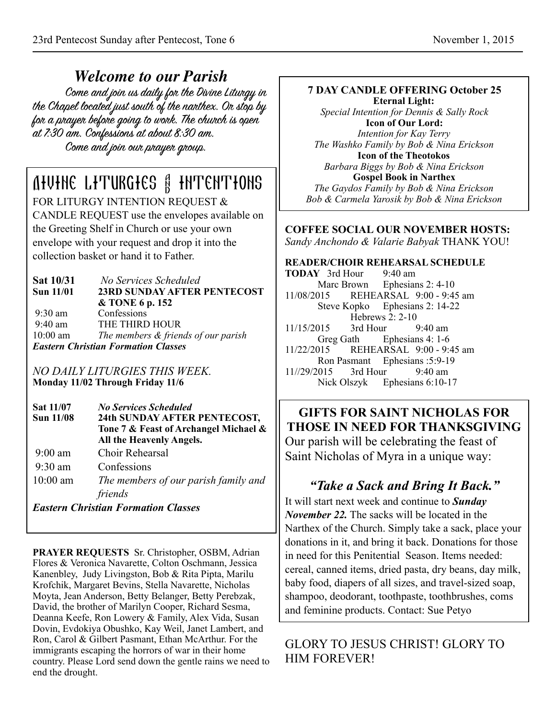*Welcome to our Parish* the Chapel located just south of the narthex. Or stop by for a prayer before going to work. The church is open at 7:30 am. Confessions at about 8:30 am. Come and join our prayer group.

# Divine Liturgies & Intentions

FOR LITURGY INTENTION REQUEST & CANDLE REQUEST use the envelopes available on the Greeting Shelf in Church or use your own envelope with your request and drop it into the collection basket or hand it to Father.

| <b>Sat 10/31</b><br><b>Sun 11/01</b> | No Services Scheduled<br><b>23RD SUNDAY AFTER PENTECOST</b> |  |  |
|--------------------------------------|-------------------------------------------------------------|--|--|
|                                      | & TONE 6 p. 152                                             |  |  |
| $9:30 \text{ am}$                    | Confessions                                                 |  |  |
| $9:40 \text{ am}$                    | THE THIRD HOUR                                              |  |  |
| $10:00$ am                           | The members & friends of our parish                         |  |  |
|                                      | <b>Eastern Christian Formation Classes</b>                  |  |  |

*NO DAILY LITURGIES THIS WEEK.*  **Monday 11/02 Through Friday 11/6** 

| <b>Sat 11/07</b><br>Sun 11/08              | <b>No Services Scheduled</b><br>24th SUNDAY AFTER PENTECOST,<br>Tone 7 & Feast of Archangel Michael &<br>All the Heavenly Angels. |  |  |  |
|--------------------------------------------|-----------------------------------------------------------------------------------------------------------------------------------|--|--|--|
| $9:00 \text{ am}$                          | Choir Rehearsal                                                                                                                   |  |  |  |
| $9:30 \text{ am}$                          | Confessions                                                                                                                       |  |  |  |
| $10:00$ am                                 | The members of our parish family and                                                                                              |  |  |  |
|                                            | friends                                                                                                                           |  |  |  |
| <b>Eastern Christian Formation Classes</b> |                                                                                                                                   |  |  |  |

**PRAYER REQUESTS** Sr. Christopher, OSBM, Adrian Flores & Veronica Navarette, Colton Oschmann, Jessica Kanenbley, Judy Livingston, Bob & Rita Pipta, Marilu Krofchik, Margaret Bevins, Stella Navarette, Nicholas Moyta, Jean Anderson, Betty Belanger, Betty Perebzak, David, the brother of Marilyn Cooper, Richard Sesma, Deanna Keefe, Ron Lowery & Family, Alex Vida, Susan Dovin, Evdokiya Obushko, Kay Weil, Janet Lambert, and Ron, Carol & Gilbert Pasmant, Ethan McArthur. For the immigrants escaping the horrors of war in their home country. Please Lord send down the gentle rains we need to end the drought.

### **7 DAY CANDLE OFFERING October 25**

**Eternal Light:**  *Special Intention for Dennis & Sally Rock*  **Icon of Our Lord:**  *Intention for Kay Terry The Washko Family by Bob & Nina Erickson*  **Icon of the Theotokos**  *Barbara Biggs by Bob & Nina Erickson*  **Gospel Book in Narthex**  *The Gaydos Family by Bob & Nina Erickson Bob & Carmela Yarosik by Bob & Nina Erickson* 

#### **COFFEE SOCIAL OUR NOVEMBER HOSTS:** *Sandy Anchondo & Valarie Babyak* THANK YOU!

**READER/CHOIR REHEARSAL SCHEDULE TODAY** 3rd Hour 9:40 am Marc Brown Ephesians 2: 4-10 11/08/2015 REHEARSAL 9:00 - 9:45 am Steve Kopko Ephesians 2: 14-22 Hebrews 2: 2-10 11/15/2015 3rd Hour 9:40 am Greg Gath Ephesians 4: 1-6 11/22/2015 REHEARSAL 9:00 - 9:45 am Ron Pasmant Ephesians :5:9-19 11//29/2015 3rd Hour 9:40 am Nick Olszyk Ephesians 6:10-17

#### **GIFTS FOR SAINT NICHOLAS FOR THOSE IN NEED FOR THANKSGIVING**  Our parish will be celebrating the feast of Saint Nicholas of Myra in a unique way:

#### *"Take a Sack and Bring It Back."*  It will start next week and continue to *Sunday November 22.* The sacks will be located in the Narthex of the Church. Simply take a sack, place your donations in it, and bring it back. Donations for those in need for this Penitential Season. Items needed: cereal, canned items, dried pasta, dry beans, day milk, baby food, diapers of all sizes, and travel-sized soap, shampoo, deodorant, toothpaste, toothbrushes, coms and feminine products. Contact: Sue Petyo

GLORY TO JESUS CHRIST! GLORY TO HIM FOREVER!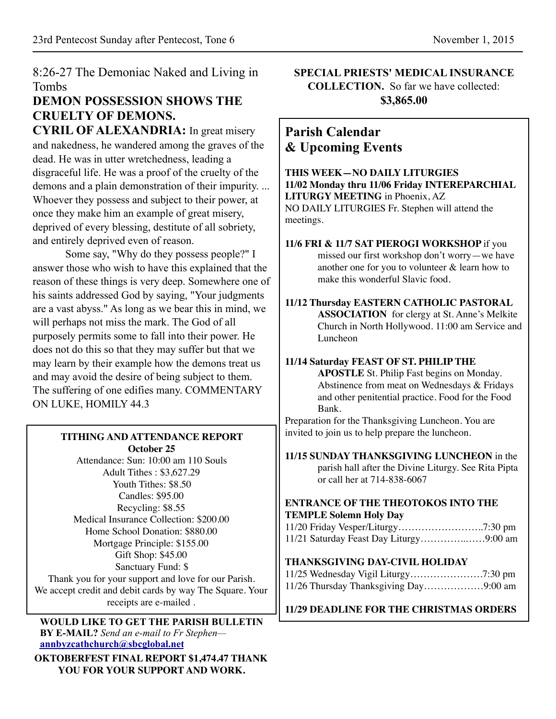8:26-27 The Demoniac Naked and Living in Tombs

## **DEMON POSSESSION SHOWS THE CRUELTY OF DEMONS.**

**CYRIL OF ALEXANDRIA:** In great misery and nakedness, he wandered among the graves of the dead. He was in utter wretchedness, leading a disgraceful life. He was a proof of the cruelty of the demons and a plain demonstration of their impurity. ... Whoever they possess and subject to their power, at once they make him an example of great misery, deprived of every blessing, destitute of all sobriety, and entirely deprived even of reason.

Some say, "Why do they possess people?" I answer those who wish to have this explained that the reason of these things is very deep. Somewhere one of his saints addressed God by saying, "Your judgments are a vast abyss." As long as we bear this in mind, we will perhaps not miss the mark. The God of all purposely permits some to fall into their power. He does not do this so that they may suffer but that we may learn by their example how the demons treat us and may avoid the desire of being subject to them. The suffering of one edifies many. COMMENTARY ON LUKE, HOMILY 44.3

#### **TITHING AND ATTENDANCE REPORT October 25**

Attendance: Sun: 10:00 am 110 Souls Adult Tithes : \$3,627.29 Youth Tithes: \$8.50 Candles: \$95.00 Recycling: \$8.55 Medical Insurance Collection: \$200.00 Home School Donation: \$880.00 Mortgage Principle: \$155.00 Gift Shop: \$45.00 Sanctuary Fund: \$ Thank you for your support and love for our Parish. We accept credit and debit cards by way The Square. Your receipts are e-mailed .

**WOULD LIKE TO GET THE PARISH BULLETIN BY E-MAIL?** *Send an e-mail to Fr Stephen* **[annbyzcathchurch@sbcglobal.net](mailto:annbyzcathchurch@sbcglobal.net)**

**OKTOBERFEST FINAL REPORT \$1,474.47 THANK YOU FOR YOUR SUPPORT AND WORK.**

**SPECIAL PRIESTS' MEDICAL INSURANCE COLLECTION.** So far we have collected: **\$3,865.00** 

### **Parish Calendar & Upcoming Events**

**THIS WEEK—NO DAILY LITURGIES 11/02 Monday thru 11/06 Friday INTEREPARCHIAL LITURGY MEETING** in Phoenix, AZ NO DAILY LITURGIES Fr. Stephen will attend the meetings. **11/6 FRI & 11/7 SAT PIEROGI WORKSHOP** if you

missed our first workshop don't worry—we have another one for you to volunteer & learn how to make this wonderful Slavic food.

**11/12 Thursday EASTERN CATHOLIC PASTORAL ASSOCIATION** for clergy at St. Anne's Melkite Church in North Hollywood. 11:00 am Service and Luncheon

#### **11/14 Saturday FEAST OF ST. PHILIP THE**

**APOSTLE** St. Philip Fast begins on Monday. Abstinence from meat on Wednesdays & Fridays and other penitential practice. Food for the Food Bank.

Preparation for the Thanksgiving Luncheon. You are invited to join us to help prepare the luncheon.

**11/15 SUNDAY THANKSGIVING LUNCHEON** in the parish hall after the Divine Liturgy. See Rita Pipta or call her at 714-838-6067

#### **ENTRANCE OF THE THEOTOKOS INTO THE TEMPLE Solemn Holy Day**

#### **THANKSGIVING DAY-CIVIL HOLIDAY**

| 11/26 Thursday Thanksgiving Day9:00 am |  |
|----------------------------------------|--|

**11/29 DEADLINE FOR THE CHRISTMAS ORDERS**